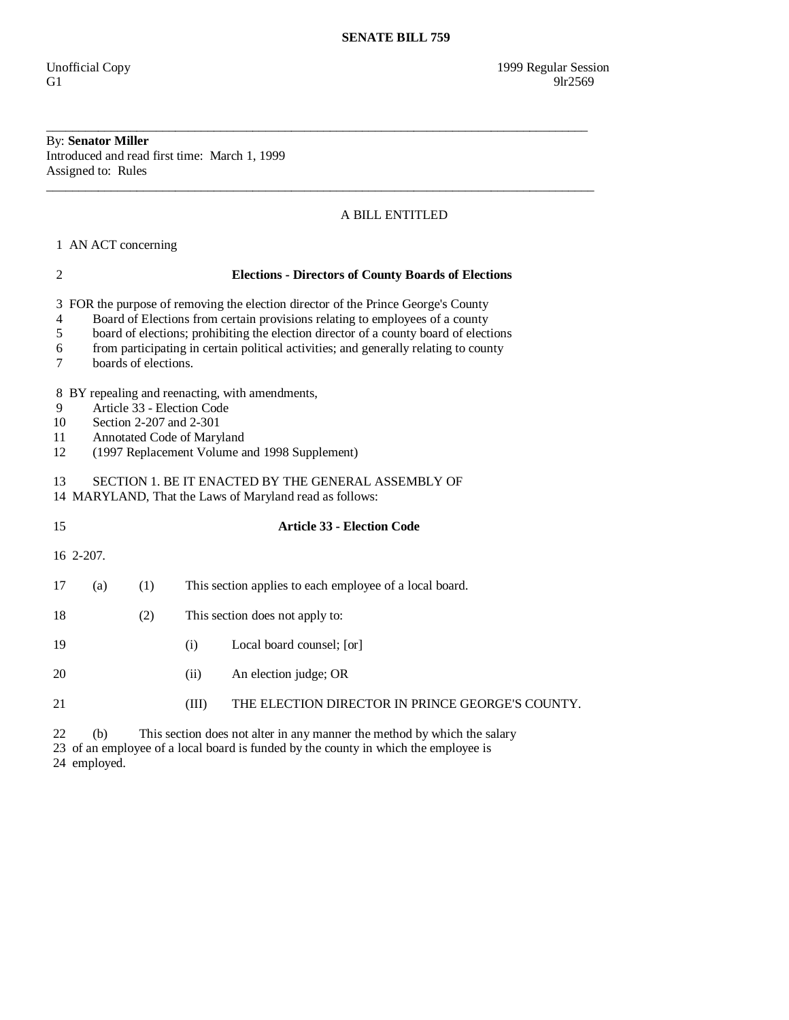## By: **Senator Miller**  Introduced and read first time: March 1, 1999 Assigned to: Rules

## A BILL ENTITLED

\_\_\_\_\_\_\_\_\_\_\_\_\_\_\_\_\_\_\_\_\_\_\_\_\_\_\_\_\_\_\_\_\_\_\_\_\_\_\_\_\_\_\_\_\_\_\_\_\_\_\_\_\_\_\_\_\_\_\_\_\_\_\_\_\_\_\_\_\_\_\_\_\_\_\_\_\_\_\_\_\_\_\_\_

\_\_\_\_\_\_\_\_\_\_\_\_\_\_\_\_\_\_\_\_\_\_\_\_\_\_\_\_\_\_\_\_\_\_\_\_\_\_\_\_\_\_\_\_\_\_\_\_\_\_\_\_\_\_\_\_\_\_\_\_\_\_\_\_\_\_\_\_\_\_\_\_\_\_\_\_\_\_\_\_\_\_\_\_\_

1 AN ACT concerning

| 2                                                                                                                                                                                                                 |                                                                                                                                                                                                                                                                                                                                                                         | <b>Elections - Directors of County Boards of Elections</b> |       |                                                                          |  |  |  |  |  |
|-------------------------------------------------------------------------------------------------------------------------------------------------------------------------------------------------------------------|-------------------------------------------------------------------------------------------------------------------------------------------------------------------------------------------------------------------------------------------------------------------------------------------------------------------------------------------------------------------------|------------------------------------------------------------|-------|--------------------------------------------------------------------------|--|--|--|--|--|
| 3<br>4<br>5<br>6<br>7                                                                                                                                                                                             | FOR the purpose of removing the election director of the Prince George's County<br>Board of Elections from certain provisions relating to employees of a county<br>board of elections; prohibiting the election director of a county board of elections<br>from participating in certain political activities; and generally relating to county<br>boards of elections. |                                                            |       |                                                                          |  |  |  |  |  |
| BY repealing and reenacting, with amendments,<br>8<br>Article 33 - Election Code<br>9<br>Section 2-207 and 2-301<br>10<br>Annotated Code of Maryland<br>11<br>(1997 Replacement Volume and 1998 Supplement)<br>12 |                                                                                                                                                                                                                                                                                                                                                                         |                                                            |       |                                                                          |  |  |  |  |  |
| SECTION 1. BE IT ENACTED BY THE GENERAL ASSEMBLY OF<br>13<br>14 MARYLAND, That the Laws of Maryland read as follows:                                                                                              |                                                                                                                                                                                                                                                                                                                                                                         |                                                            |       |                                                                          |  |  |  |  |  |
| 15                                                                                                                                                                                                                |                                                                                                                                                                                                                                                                                                                                                                         |                                                            |       | <b>Article 33 - Election Code</b>                                        |  |  |  |  |  |
|                                                                                                                                                                                                                   | 16 2-207.                                                                                                                                                                                                                                                                                                                                                               |                                                            |       |                                                                          |  |  |  |  |  |
| 17                                                                                                                                                                                                                | (a)                                                                                                                                                                                                                                                                                                                                                                     | (1)                                                        |       | This section applies to each employee of a local board.                  |  |  |  |  |  |
| 18                                                                                                                                                                                                                |                                                                                                                                                                                                                                                                                                                                                                         | (2)                                                        |       | This section does not apply to:                                          |  |  |  |  |  |
| 19                                                                                                                                                                                                                |                                                                                                                                                                                                                                                                                                                                                                         |                                                            | (i)   | Local board counsel; [or]                                                |  |  |  |  |  |
| 20                                                                                                                                                                                                                |                                                                                                                                                                                                                                                                                                                                                                         |                                                            | (ii)  | An election judge; OR                                                    |  |  |  |  |  |
| 21                                                                                                                                                                                                                |                                                                                                                                                                                                                                                                                                                                                                         |                                                            | (III) | THE ELECTION DIRECTOR IN PRINCE GEORGE'S COUNTY.                         |  |  |  |  |  |
| 22                                                                                                                                                                                                                | (h)                                                                                                                                                                                                                                                                                                                                                                     |                                                            |       | This section does not alter in any manner the method by which the salary |  |  |  |  |  |

22 (b) This section does not alter in any manner the method by which the salary

 23 of an employee of a local board is funded by the county in which the employee is 24 employed.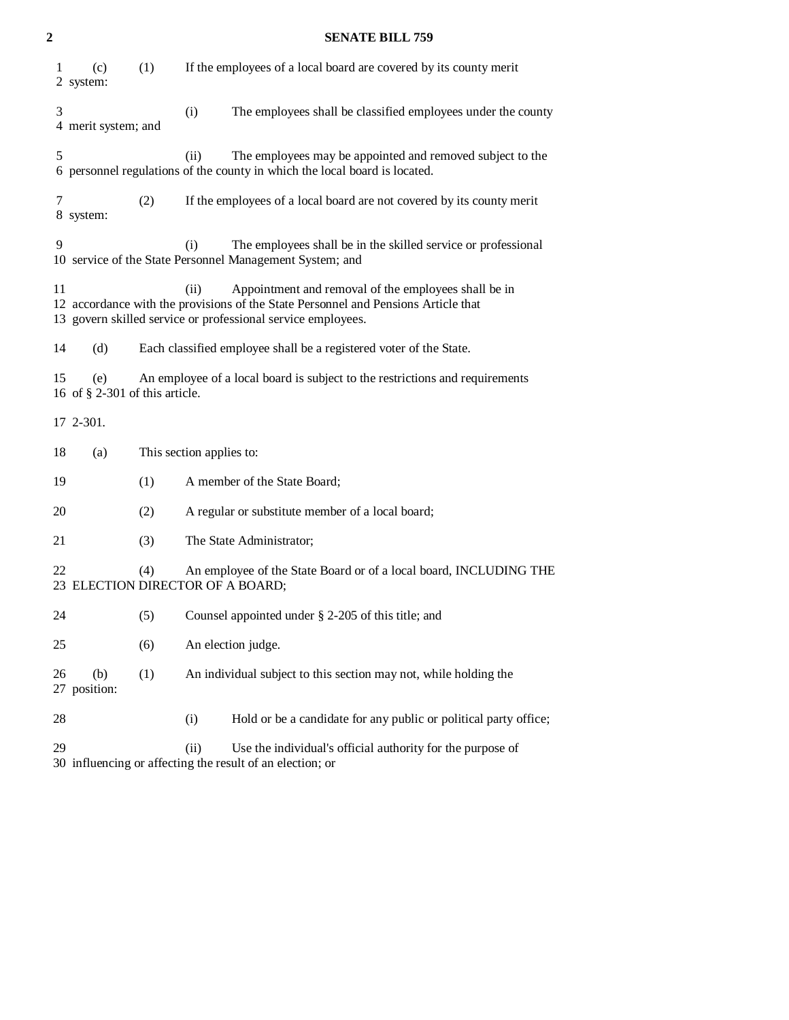| $\overline{c}$                                                                                                                                                                                                           | <b>SENATE BILL 759</b>                                                                                                          |                                                                                                                                                 |                                                                  |                                                                                                                           |  |  |  |  |
|--------------------------------------------------------------------------------------------------------------------------------------------------------------------------------------------------------------------------|---------------------------------------------------------------------------------------------------------------------------------|-------------------------------------------------------------------------------------------------------------------------------------------------|------------------------------------------------------------------|---------------------------------------------------------------------------------------------------------------------------|--|--|--|--|
| 1                                                                                                                                                                                                                        | (c)<br>2 system:                                                                                                                | (1)                                                                                                                                             |                                                                  | If the employees of a local board are covered by its county merit                                                         |  |  |  |  |
| 3                                                                                                                                                                                                                        | 4 merit system; and                                                                                                             |                                                                                                                                                 | (i)                                                              | The employees shall be classified employees under the county                                                              |  |  |  |  |
| 5                                                                                                                                                                                                                        |                                                                                                                                 | (ii)<br>The employees may be appointed and removed subject to the<br>6 personnel regulations of the county in which the local board is located. |                                                                  |                                                                                                                           |  |  |  |  |
| 7                                                                                                                                                                                                                        | 8 system:                                                                                                                       | (2)                                                                                                                                             |                                                                  | If the employees of a local board are not covered by its county merit                                                     |  |  |  |  |
| 9                                                                                                                                                                                                                        |                                                                                                                                 |                                                                                                                                                 | (i)                                                              | The employees shall be in the skilled service or professional<br>10 service of the State Personnel Management System; and |  |  |  |  |
| 11<br>(ii)<br>Appointment and removal of the employees shall be in<br>12 accordance with the provisions of the State Personnel and Pensions Article that<br>13 govern skilled service or professional service employees. |                                                                                                                                 |                                                                                                                                                 |                                                                  |                                                                                                                           |  |  |  |  |
| 14                                                                                                                                                                                                                       | (d)                                                                                                                             | Each classified employee shall be a registered voter of the State.                                                                              |                                                                  |                                                                                                                           |  |  |  |  |
| 15                                                                                                                                                                                                                       | An employee of a local board is subject to the restrictions and requirements<br>(e)<br>16 of $\S$ 2-301 of this article.        |                                                                                                                                                 |                                                                  |                                                                                                                           |  |  |  |  |
|                                                                                                                                                                                                                          | 17 2-301.                                                                                                                       |                                                                                                                                                 |                                                                  |                                                                                                                           |  |  |  |  |
| 18                                                                                                                                                                                                                       | (a)                                                                                                                             | This section applies to:                                                                                                                        |                                                                  |                                                                                                                           |  |  |  |  |
| 19                                                                                                                                                                                                                       |                                                                                                                                 | (1)                                                                                                                                             | A member of the State Board;                                     |                                                                                                                           |  |  |  |  |
| 20                                                                                                                                                                                                                       |                                                                                                                                 | (2)                                                                                                                                             |                                                                  | A regular or substitute member of a local board;                                                                          |  |  |  |  |
| 21                                                                                                                                                                                                                       |                                                                                                                                 | (3)                                                                                                                                             |                                                                  | The State Administrator;                                                                                                  |  |  |  |  |
| 22                                                                                                                                                                                                                       | (4)<br>An employee of the State Board or of a local board, INCLUDING THE<br>23 ELECTION DIRECTOR OF A BOARD;                    |                                                                                                                                                 |                                                                  |                                                                                                                           |  |  |  |  |
| 24                                                                                                                                                                                                                       |                                                                                                                                 | (5)                                                                                                                                             |                                                                  | Counsel appointed under § 2-205 of this title; and                                                                        |  |  |  |  |
| 25                                                                                                                                                                                                                       |                                                                                                                                 | (6)                                                                                                                                             |                                                                  | An election judge.                                                                                                        |  |  |  |  |
| 26                                                                                                                                                                                                                       | (b)<br>27 position:                                                                                                             | (1)                                                                                                                                             | An individual subject to this section may not, while holding the |                                                                                                                           |  |  |  |  |
| 28                                                                                                                                                                                                                       |                                                                                                                                 |                                                                                                                                                 | (i)                                                              | Hold or be a candidate for any public or political party office;                                                          |  |  |  |  |
| 29                                                                                                                                                                                                                       | Use the individual's official authority for the purpose of<br>(ii)<br>30 influencing or affecting the result of an election; or |                                                                                                                                                 |                                                                  |                                                                                                                           |  |  |  |  |